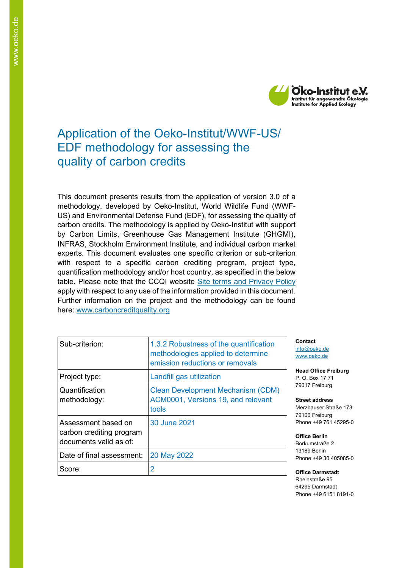

# Application of the Oeko-Institut/WWF-US/ EDF methodology for assessing the quality of carbon credits

This document presents results from the application of version 3.0 of a methodology, developed by Oeko-Institut, World Wildlife Fund (WWF-US) and Environmental Defense Fund (EDF), for assessing the quality of carbon credits. The methodology is applied by Oeko-Institut with support by Carbon Limits, Greenhouse Gas Management Institute (GHGMI), INFRAS, Stockholm Environment Institute, and individual carbon market experts. This document evaluates one specific criterion or sub-criterion with respect to a specific carbon crediting program, project type, quantification methodology and/or host country, as specified in the below table. Please note that the CCQI website [Site terms and Privacy Policy](https://carboncreditquality.org/terms.html) apply with respect to any use of the information provided in this document. Further information on the project and the methodology can be found here: [www.carboncreditquality.org](http://www.carboncreditquality.org/)

| Sub-criterion:                                                            | 1.3.2 Robustness of the quantification<br>methodologies applied to determine<br>emission reductions or removals |
|---------------------------------------------------------------------------|-----------------------------------------------------------------------------------------------------------------|
| Project type:                                                             | Landfill gas utilization                                                                                        |
| Quantification<br>methodology:                                            | <b>Clean Development Mechanism (CDM)</b><br>ACM0001, Versions 19, and relevant<br>tools                         |
| Assessment based on<br>carbon crediting program<br>documents valid as of: | 30 June 2021                                                                                                    |
| Date of final assessment:                                                 | 20 May 2022                                                                                                     |
| Score:                                                                    | 2                                                                                                               |

**Contact** [info@oeko.de](mailto:info@oeko.de) [www.oeko.de](http://www.oeko.de/)

**Head Office Freiburg** P. O. Box 17 71 79017 Freiburg

**Street address** Merzhauser Straße 173 79100 Freiburg Phone +49 761 45295-0

**Office Berlin** Borkumstraße 2 13189 Berlin Phone +49 30 405085-0

**Office Darmstadt** Rheinstraße 95 64295 Darmstadt Phone +49 6151 8191-0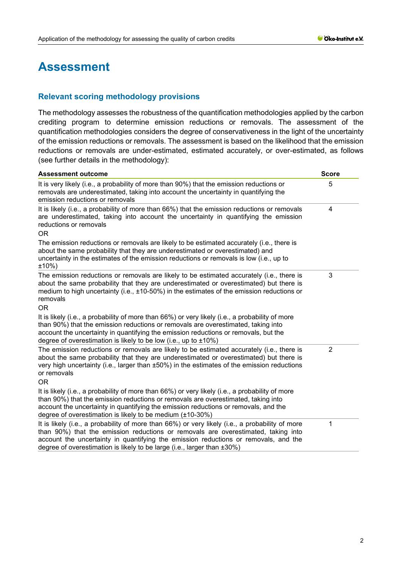# **Assessment**

# **Relevant scoring methodology provisions**

The methodology assesses the robustness of the quantification methodologies applied by the carbon crediting program to determine emission reductions or removals. The assessment of the quantification methodologies considers the degree of conservativeness in the light of the uncertainty of the emission reductions or removals. The assessment is based on the likelihood that the emission reductions or removals are under-estimated, estimated accurately, or over-estimated, as follows (see further details in the methodology):

| <b>Assessment outcome</b>                                                                                                                                                                                                                                                                                                                              | <b>Score</b>   |
|--------------------------------------------------------------------------------------------------------------------------------------------------------------------------------------------------------------------------------------------------------------------------------------------------------------------------------------------------------|----------------|
| It is very likely (i.e., a probability of more than 90%) that the emission reductions or<br>removals are underestimated, taking into account the uncertainty in quantifying the<br>emission reductions or removals                                                                                                                                     | 5              |
| It is likely (i.e., a probability of more than 66%) that the emission reductions or removals<br>are underestimated, taking into account the uncertainty in quantifying the emission<br>reductions or removals<br><b>OR</b>                                                                                                                             | 4              |
| The emission reductions or removals are likely to be estimated accurately (i.e., there is<br>about the same probability that they are underestimated or overestimated) and<br>uncertainty in the estimates of the emission reductions or removals is low (i.e., up to<br>$±10\%$ )                                                                     |                |
| The emission reductions or removals are likely to be estimated accurately (i.e., there is<br>about the same probability that they are underestimated or overestimated) but there is<br>medium to high uncertainty (i.e., $\pm$ 10-50%) in the estimates of the emission reductions or<br>removals<br><b>OR</b>                                         | 3              |
| It is likely (i.e., a probability of more than 66%) or very likely (i.e., a probability of more<br>than 90%) that the emission reductions or removals are overestimated, taking into<br>account the uncertainty in quantifying the emission reductions or removals, but the<br>degree of overestimation is likely to be low (i.e., up to $\pm 10\%$ )  |                |
| The emission reductions or removals are likely to be estimated accurately (i.e., there is<br>about the same probability that they are underestimated or overestimated) but there is<br>very high uncertainty (i.e., larger than ±50%) in the estimates of the emission reductions<br>or removals<br>0R                                                 | $\overline{2}$ |
| It is likely (i.e., a probability of more than 66%) or very likely (i.e., a probability of more<br>than 90%) that the emission reductions or removals are overestimated, taking into<br>account the uncertainty in quantifying the emission reductions or removals, and the<br>degree of overestimation is likely to be medium $(\pm 10-30\%)$         |                |
| It is likely (i.e., a probability of more than 66%) or very likely (i.e., a probability of more<br>than 90%) that the emission reductions or removals are overestimated, taking into<br>account the uncertainty in quantifying the emission reductions or removals, and the<br>degree of overestimation is likely to be large (i.e., larger than ±30%) | 1              |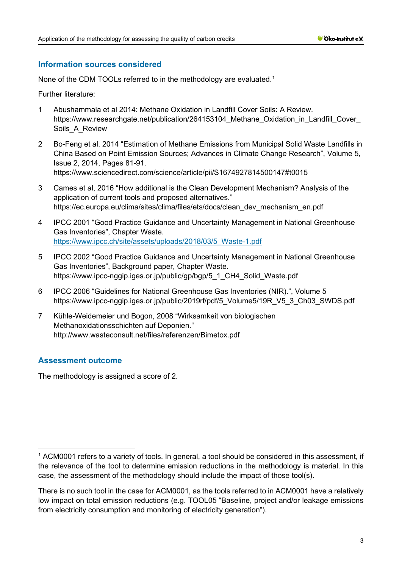# **Information sources considered**

None of the CDM TOOLs referred to in the methodology are evaluated.<sup>[1](#page-2-0)</sup>

Further literature:

- 1 Abushammala et al 2014: Methane Oxidation in Landfill Cover Soils: A Review. https://www.researchgate.net/publication/264153104 Methane Oxidation in Landfill Cover Soils A Review
- 2 Bo-Feng et al. 2014 "Estimation of Methane Emissions from Municipal Solid Waste Landfills in China Based on Point Emission Sources; Advances in Climate Change Research", Volume 5, Issue 2, 2014, Pages 81-91. [https://www.sciencedirect.com/science/article/pii/S1674927814500147#t0015](https://www.sciencedirect.com/science/article/pii/S1674927814500147%23t0015)
- 3 Cames et al, 2016 "How additional is the Clean Development Mechanism? Analysis of the application of current tools and proposed alternatives." [https://ec.europa.eu/clima/sites/clima/files/ets/docs/clean\\_dev\\_mechanism\\_en.pdf](https://ec.europa.eu/clima/sites/clima/files/ets/docs/clean_dev_mechanism_en.pdf)
- 4 IPCC 2001 "Good Practice Guidance and Uncertainty Management in National Greenhouse Gas Inventories", Chapter Waste. [https://www.ipcc.ch/site/assets/uploads/2018/03/5\\_Waste-1.pdf](https://www.ipcc.ch/site/assets/uploads/2018/03/5_Waste-1.pdf)
- 5 IPCC 2002 "Good Practice Guidance and Uncertainty Management in National Greenhouse Gas Inventories", Background paper, Chapter Waste. [https://www.ipcc-nggip.iges.or.jp/public/gp/bgp/5\\_1\\_CH4\\_Solid\\_Waste.pdf](https://www.ipcc-nggip.iges.or.jp/public/gp/bgp/5_1_CH4_Solid_Waste.pdf)
- 6 IPCC 2006 "Guidelines for National Greenhouse Gas Inventories (NIR).", Volume 5 [https://www.ipcc-nggip.iges.or.jp/public/2019rf/pdf/5\\_Volume5/19R\\_V5\\_3\\_Ch03\\_SWDS.pdf](https://www.ipcc-nggip.iges.or.jp/public/2019rf/pdf/5_Volume5/19R_V5_3_Ch03_SWDS.pdf)
- 7 Kühle-Weidemeier und Bogon, 2008 "Wirksamkeit von biologischen Methanoxidationsschichten auf Deponien." <http://www.wasteconsult.net/files/referenzen/Bimetox.pdf>

# **Assessment outcome**

The methodology is assigned a score of 2.

<span id="page-2-0"></span><sup>&</sup>lt;sup>1</sup> ACM0001 refers to a variety of tools. In general, a tool should be considered in this assessment, if the relevance of the tool to determine emission reductions in the methodology is material. In this case, the assessment of the methodology should include the impact of those tool(s).

There is no such tool in the case for ACM0001, as the tools referred to in ACM0001 have a relatively low impact on total emission reductions (e.g. TOOL05 "Baseline, project and/or leakage emissions from electricity consumption and monitoring of electricity generation").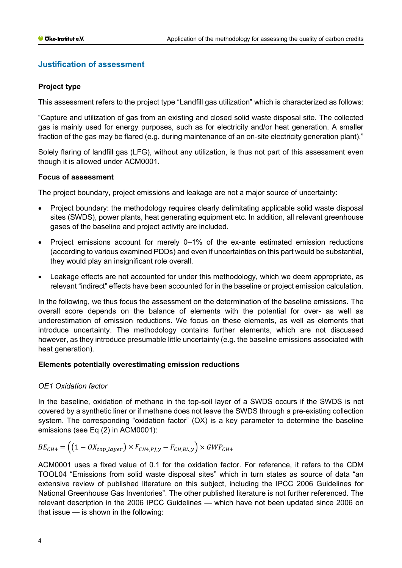# **Justification of assessment**

# **Project type**

This assessment refers to the project type "Landfill gas utilization" which is characterized as follows:

"Capture and utilization of gas from an existing and closed solid waste disposal site. The collected gas is mainly used for energy purposes, such as for electricity and/or heat generation. A smaller fraction of the gas may be flared (e.g. during maintenance of an on-site electricity generation plant)."

Solely flaring of landfill gas (LFG), without any utilization, is thus not part of this assessment even though it is allowed under ACM0001.

# **Focus of assessment**

The project boundary, project emissions and leakage are not a major source of uncertainty:

- Project boundary: the methodology requires clearly delimitating applicable solid waste disposal sites (SWDS), power plants, heat generating equipment etc. In addition, all relevant greenhouse gases of the baseline and project activity are included.
- Project emissions account for merely 0–1% of the ex-ante estimated emission reductions (according to various examined PDDs) and even if uncertainties on this part would be substantial, they would play an insignificant role overall.
- Leakage effects are not accounted for under this methodology, which we deem appropriate, as relevant "indirect" effects have been accounted for in the baseline or project emission calculation.

In the following, we thus focus the assessment on the determination of the baseline emissions. The overall score depends on the balance of elements with the potential for over- as well as underestimation of emission reductions. We focus on these elements, as well as elements that introduce uncertainty. The methodology contains further elements, which are not discussed however, as they introduce presumable little uncertainty (e.g. the baseline emissions associated with heat generation).

#### **Elements potentially overestimating emission reductions**

#### *OE1 Oxidation factor*

In the baseline, oxidation of methane in the top-soil layer of a SWDS occurs if the SWDS is not covered by a synthetic liner or if methane does not leave the SWDS through a pre-existing collection system. The corresponding "oxidation factor" (OX) is a key parameter to determine the baseline emissions (see Eq (2) in ACM0001):

$$
BE_{CH4} = ((1 - OX_{top\_layer}) \times F_{CH4,PI,y} - F_{CH,BL,y}) \times GWP_{CH4}
$$

ACM0001 uses a fixed value of 0.1 for the oxidation factor. For reference, it refers to the CDM TOOL04 "Emissions from solid waste disposal sites" which in turn states as source of data "an extensive review of published literature on this subject, including the IPCC 2006 Guidelines for National Greenhouse Gas Inventories". The other published literature is not further referenced. The relevant description in the 2006 IPCC Guidelines — which have not been updated since 2006 on that issue — is shown in the following: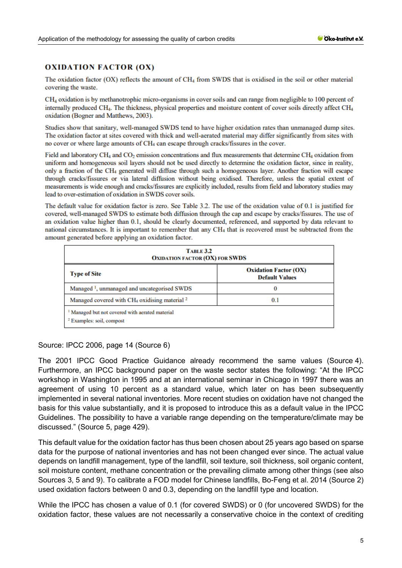#### **OXIDATION FACTOR (OX)**

The oxidation factor (OX) reflects the amount of CH<sub>4</sub> from SWDS that is oxidised in the soil or other material covering the waste.

CH<sub>4</sub> oxidation is by methanotrophic micro-organisms in cover soils and can range from negligible to 100 percent of internally produced CH<sub>4</sub>. The thickness, physical properties and moisture content of cover soils directly affect CH<sub>4</sub> oxidation (Bogner and Matthews, 2003).

Studies show that sanitary, well-managed SWDS tend to have higher oxidation rates than unmanaged dump sites. The oxidation factor at sites covered with thick and well-aerated material may differ significantly from sites with no cover or where large amounts of CH<sub>4</sub> can escape through cracks/fissures in the cover.

Field and laboratory CH<sub>4</sub> and CO<sub>2</sub> emission concentrations and flux measurements that determine CH<sub>4</sub> oxidation from uniform and homogeneous soil layers should not be used directly to determine the oxidation factor, since in reality, only a fraction of the CH<sub>4</sub> generated will diffuse through such a homogeneous layer. Another fraction will escape through cracks/fissures or via lateral diffusion without being oxidised. Therefore, unless the spatial extent of measurements is wide enough and cracks/fissures are explicitly included, results from field and laboratory studies may lead to over-estimation of oxidation in SWDS cover soils.

The default value for oxidation factor is zero. See Table 3.2. The use of the oxidation value of 0.1 is justified for covered, well-managed SWDS to estimate both diffusion through the cap and escape by cracks/fissures. The use of an oxidation value higher than 0.1, should be clearly documented, referenced, and supported by data relevant to national circumstances. It is important to remember that any CH<sub>4</sub> that is recovered must be subtracted from the amount generated before applying an oxidation factor.

| <b>TABLE 3.2</b><br><b>OXIDATION FACTOR (OX) FOR SWDS</b>                                          |                                                       |  |  |  |
|----------------------------------------------------------------------------------------------------|-------------------------------------------------------|--|--|--|
| <b>Type of Site</b>                                                                                | <b>Oxidation Factor (OX)</b><br><b>Default Values</b> |  |  |  |
| Managed <sup>1</sup> , unmanaged and uncategorised SWDS                                            | O                                                     |  |  |  |
| Managed covered with $CH_4$ oxidising material $^2$                                                | 0.1                                                   |  |  |  |
| <sup>1</sup> Managed but not covered with aerated material<br><sup>2</sup> Examples: soil, compost |                                                       |  |  |  |

#### Source: IPCC 2006, page 14 (Source 6)

The 2001 IPCC Good Practice Guidance already recommend the same values (Source 4). Furthermore, an IPCC background paper on the waste sector states the following: "At the IPCC workshop in Washington in 1995 and at an international seminar in Chicago in 1997 there was an agreement of using 10 percent as a standard value, which later on has been subsequently implemented in several national inventories. More recent studies on oxidation have not changed the basis for this value substantially, and it is proposed to introduce this as a default value in the IPCC Guidelines. The possibility to have a variable range depending on the temperature/climate may be discussed." (Source 5, page 429).

This default value for the oxidation factor has thus been chosen about 25 years ago based on sparse data for the purpose of national inventories and has not been changed ever since. The actual value depends on landfill management, type of the landfill, soil texture, soil thickness, soil organic content, soil moisture content, methane concentration or the prevailing climate among other things (see also Sources 3, 5 and 9). To calibrate a FOD model for Chinese landfills, Bo-Feng et al. 2014 (Source 2) used oxidation factors between 0 and 0.3, depending on the landfill type and location.

While the IPCC has chosen a value of 0.1 (for covered SWDS) or 0 (for uncovered SWDS) for the oxidation factor, these values are not necessarily a conservative choice in the context of crediting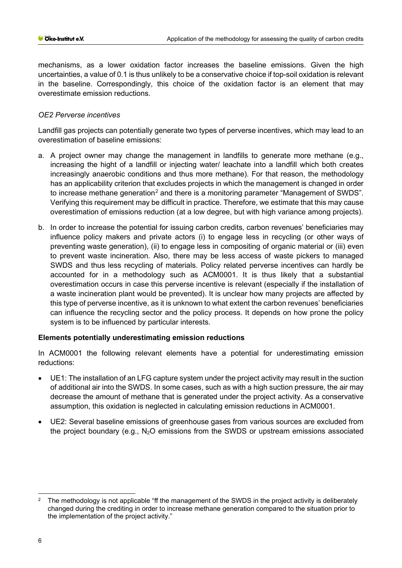mechanisms, as a lower oxidation factor increases the baseline emissions. Given the high uncertainties, a value of 0.1 is thus unlikely to be a conservative choice if top-soil oxidation is relevant in the baseline. Correspondingly, this choice of the oxidation factor is an element that may overestimate emission reductions.

# *OE2 Perverse incentives*

Landfill gas projects can potentially generate two types of perverse incentives, which may lead to an overestimation of baseline emissions:

- a. A project owner may change the management in landfills to generate more methane (e.g., increasing the hight of a landfill or injecting water/ leachate into a landfill which both creates increasingly anaerobic conditions and thus more methane). For that reason, the methodology has an applicability criterion that excludes projects in which the management is changed in order to increase methane generation<sup>[2](#page-5-0)</sup> and there is a monitoring parameter "Management of SWDS". Verifying this requirement may be difficult in practice. Therefore, we estimate that this may cause overestimation of emissions reduction (at a low degree, but with high variance among projects).
- b. In order to increase the potential for issuing carbon credits, carbon revenues' beneficiaries may influence policy makers and private actors (i) to engage less in recycling (or other ways of preventing waste generation), (ii) to engage less in compositing of organic material or (iii) even to prevent waste incineration. Also, there may be less access of waste pickers to managed SWDS and thus less recycling of materials. Policy related perverse incentives can hardly be accounted for in a methodology such as ACM0001. It is thus likely that a substantial overestimation occurs in case this perverse incentive is relevant (especially if the installation of a waste incineration plant would be prevented). It is unclear how many projects are affected by this type of perverse incentive, as it is unknown to what extent the carbon revenues' beneficiaries can influence the recycling sector and the policy process. It depends on how prone the policy system is to be influenced by particular interests.

#### **Elements potentially underestimating emission reductions**

In ACM0001 the following relevant elements have a potential for underestimating emission reductions:

- UE1: The installation of an LFG capture system under the project activity may result in the suction of additional air into the SWDS. In some cases, such as with a high suction pressure, the air may decrease the amount of methane that is generated under the project activity. As a conservative assumption, this oxidation is neglected in calculating emission reductions in ACM0001.
- UE2: Several baseline emissions of greenhouse gases from various sources are excluded from the project boundary (e.g., N<sub>2</sub>O emissions from the SWDS or upstream emissions associated

<span id="page-5-0"></span><sup>2</sup> The methodology is not applicable "ff the management of the SWDS in the project activity is deliberately changed during the crediting in order to increase methane generation compared to the situation prior to the implementation of the project activity."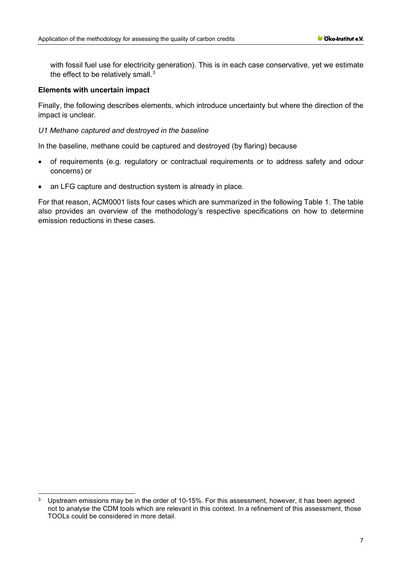with fossil fuel use for electricity generation). This is in each case conservative, yet we estimate the effect to be relatively small. $3$ 

#### **Elements with uncertain impact**

Finally, the following describes elements, which introduce uncertainty but where the direction of the impact is unclear.

#### *U1 Methane captured and destroyed in the baseline*

In the baseline, methane could be captured and destroyed (by flaring) because

- of requirements (e.g. regulatory or contractual requirements or to address safety and odour concerns) or
- an LFG capture and destruction system is already in place.

For that reason, ACM0001 lists four cases which are summarized in the following Table 1. The table also provides an overview of the methodology's respective specifications on how to determine emission reductions in these cases.

<span id="page-6-0"></span><sup>&</sup>lt;sup>3</sup> Upstream emissions may be in the order of 10-15%. For this assessment, however, it has been agreed not to analyse the CDM tools which are relevant in this context. In a refinement of this assessment, those TOOLs could be considered in more detail.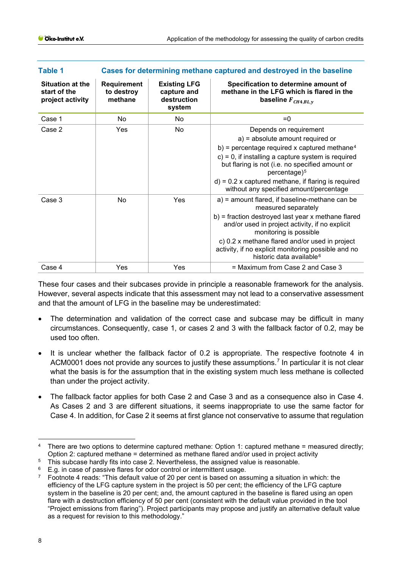| <b>Table 1</b>                                              | Cases for determining methane captured and destroyed in the baseline |                                                             |                                                                                                                                                                                                                                                                                                                                                            |  |  |
|-------------------------------------------------------------|----------------------------------------------------------------------|-------------------------------------------------------------|------------------------------------------------------------------------------------------------------------------------------------------------------------------------------------------------------------------------------------------------------------------------------------------------------------------------------------------------------------|--|--|
| <b>Situation at the</b><br>start of the<br>project activity | Requirement<br>to destroy<br>methane                                 | <b>Existing LFG</b><br>capture and<br>destruction<br>system | Specification to determine amount of<br>methane in the LFG which is flared in the<br>baseline $F_{CH4, BL, y}$                                                                                                                                                                                                                                             |  |  |
| Case 1                                                      | No.                                                                  | No                                                          | $= 0$                                                                                                                                                                                                                                                                                                                                                      |  |  |
| Case 2                                                      | Yes                                                                  | No.                                                         | Depends on requirement<br>a) = absolute amount required or<br>b) = percentage required x captured methane <sup>4</sup><br>$c$ ) = 0, if installing a capture system is required<br>but flaring is not (i.e. no specified amount or<br>$percentage)^5$<br>$d$ ) = 0.2 x captured methane, if flaring is required<br>without any specified amount/percentage |  |  |
| Case 3                                                      | No                                                                   | Yes                                                         | a) = amount flared, if baseline-methane can be<br>measured separately<br>b) = fraction destroyed last year x methane flared<br>and/or used in project activity, if no explicit<br>monitoring is possible<br>c) 0.2 x methane flared and/or used in project<br>activity, if no explicit monitoring possible and no<br>historic data available <sup>6</sup>  |  |  |
| Case 4                                                      | Yes                                                                  | Yes                                                         | = Maximum from Case 2 and Case 3                                                                                                                                                                                                                                                                                                                           |  |  |

These four cases and their subcases provide in principle a reasonable framework for the analysis. However, several aspects indicate that this assessment may not lead to a conservative assessment and that the amount of LFG in the baseline may be underestimated:

- The determination and validation of the correct case and subcase may be difficult in many circumstances. Consequently, case 1, or cases 2 and 3 with the fallback factor of 0.2, may be used too often.
- It is unclear whether the fallback factor of 0.2 is appropriate. The respective footnote 4 in ACM0001 does not provide any sources to justify these assumptions. [7](#page-7-3) In particular it is not clear what the basis is for the assumption that in the existing system much less methane is collected than under the project activity.
- The fallback factor applies for both Case 2 and Case 3 and as a consequence also in Case 4. As Cases 2 and 3 are different situations, it seems inappropriate to use the same factor for Case 4. In addition, for Case 2 it seems at first glance not conservative to assume that regulation

<span id="page-7-0"></span><sup>4</sup> There are two options to determine captured methane: Option 1: captured methane = measured directly; Option 2: captured methane = determined as methane flared and/or used in project activity

<span id="page-7-1"></span><sup>&</sup>lt;sup>5</sup> This subcase hardly fits into case 2. Nevertheless, the assigned value is reasonable.

<span id="page-7-2"></span><sup>&</sup>lt;sup>6</sup> E.g. in case of passive flares for odor control or intermittent usage.<br><sup>7</sup> Epotpote 4 reads: "This default value of 20 per cent is based on as

<span id="page-7-3"></span>Footnote 4 reads: "This default value of 20 per cent is based on assuming a situation in which: the efficiency of the LFG capture system in the project is 50 per cent; the efficiency of the LFG capture system in the baseline is 20 per cent; and, the amount captured in the baseline is flared using an open flare with a destruction efficiency of 50 per cent (consistent with the default value provided in the tool "Project emissions from flaring"). Project participants may propose and justify an alternative default value as a request for revision to this methodology."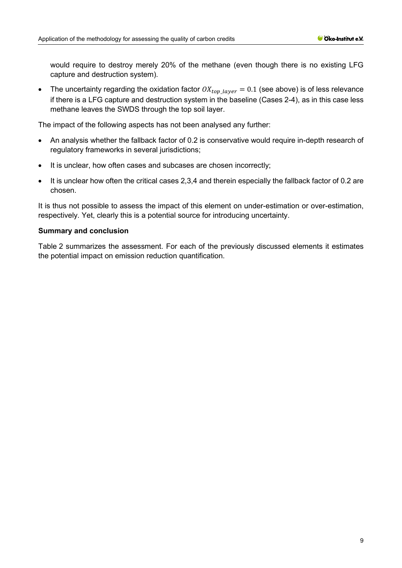would require to destroy merely 20% of the methane (even though there is no existing LFG capture and destruction system).

• The uncertainty regarding the oxidation factor  $OX_{top\ layer} = 0.1$  (see above) is of less relevance if there is a LFG capture and destruction system in the baseline (Cases 2-4), as in this case less methane leaves the SWDS through the top soil layer.

The impact of the following aspects has not been analysed any further:

- An analysis whether the fallback factor of 0.2 is conservative would require in-depth research of regulatory frameworks in several jurisdictions;
- It is unclear, how often cases and subcases are chosen incorrectly;
- It is unclear how often the critical cases 2,3,4 and therein especially the fallback factor of 0.2 are chosen.

It is thus not possible to assess the impact of this element on under-estimation or over-estimation, respectively. Yet, clearly this is a potential source for introducing uncertainty.

# **Summary and conclusion**

[Table](#page-9-0) 2 summarizes the assessment. For each of the previously discussed elements it estimates the potential impact on emission reduction quantification.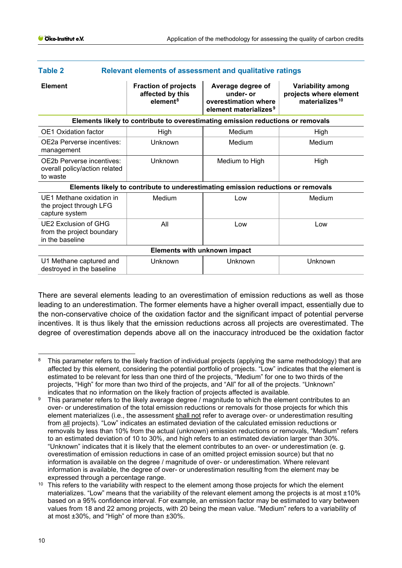<span id="page-9-0"></span>

| Table 2<br><b>Relevant elements of assessment and qualitative ratings</b>        |                                                                         |                                                                                             |                                                                                  |  |  |  |  |  |
|----------------------------------------------------------------------------------|-------------------------------------------------------------------------|---------------------------------------------------------------------------------------------|----------------------------------------------------------------------------------|--|--|--|--|--|
| <b>Element</b>                                                                   | <b>Fraction of projects</b><br>affected by this<br>element <sup>8</sup> | Average degree of<br>under- or<br>overestimation where<br>element materializes <sup>9</sup> | <b>Variability among</b><br>projects where element<br>materializes <sup>10</sup> |  |  |  |  |  |
| Elements likely to contribute to overestimating emission reductions or removals  |                                                                         |                                                                                             |                                                                                  |  |  |  |  |  |
| <b>OE1</b> Oxidation factor                                                      | High                                                                    | Medium                                                                                      | High                                                                             |  |  |  |  |  |
| OE2a Perverse incentives:<br>management                                          | Unknown                                                                 | Medium                                                                                      | Medium                                                                           |  |  |  |  |  |
| OE2b Perverse incentives:<br>overall policy/action related<br>to waste           | Unknown                                                                 | Medium to High                                                                              | High                                                                             |  |  |  |  |  |
| Elements likely to contribute to underestimating emission reductions or removals |                                                                         |                                                                                             |                                                                                  |  |  |  |  |  |
| UE1 Methane oxidation in<br>the project through LFG<br>capture system            | Medium                                                                  | Low                                                                                         | Medium                                                                           |  |  |  |  |  |
| UE2 Exclusion of GHG<br>from the project boundary<br>in the baseline             | All                                                                     | Low                                                                                         | Low                                                                              |  |  |  |  |  |
| <b>Elements with unknown impact</b>                                              |                                                                         |                                                                                             |                                                                                  |  |  |  |  |  |
| U1 Methane captured and<br>destroyed in the baseline                             | Unknown                                                                 | Unknown                                                                                     | Unknown                                                                          |  |  |  |  |  |
|                                                                                  |                                                                         |                                                                                             |                                                                                  |  |  |  |  |  |

There are several elements leading to an overestimation of emission reductions as well as those leading to an underestimation. The former elements have a higher overall impact, essentially due to the non-conservative choice of the oxidation factor and the significant impact of potential perverse incentives. It is thus likely that the emission reductions across all projects are overestimated. The degree of overestimation depends above all on the inaccuracy introduced be the oxidation factor

<span id="page-9-1"></span><sup>8</sup> This parameter refers to the likely fraction of individual projects (applying the same methodology) that are affected by this element, considering the potential portfolio of projects. "Low" indicates that the element is estimated to be relevant for less than one third of the projects, "Medium" for one to two thirds of the projects, "High" for more than two third of the projects, and "All" for all of the projects. "Unknown" indicates that no information on the likely fraction of projects affected is available.

<span id="page-9-2"></span>This parameter refers to the likely average degree / magnitude to which the element contributes to an over- or underestimation of the total emission reductions or removals for those projects for which this element materializes (i.e., the assessment shall not refer to average over- or underestimation resulting from all projects). "Low" indicates an estimated deviation of the calculated emission reductions or removals by less than 10% from the actual (unknown) emission reductions or removals, "Medium" refers to an estimated deviation of 10 to 30%, and high refers to an estimated deviation larger than 30%. "Unknown" indicates that it is likely that the element contributes to an over- or underestimation (e. g. overestimation of emission reductions in case of an omitted project emission source) but that no information is available on the degree / magnitude of over- or underestimation. Where relevant information is available, the degree of over- or underestimation resulting from the element may be expressed through a percentage range.

<span id="page-9-3"></span> $10$  This refers to the variability with respect to the element among those projects for which the element materializes. "Low" means that the variability of the relevant element among the projects is at most ±10% based on a 95% confidence interval. For example, an emission factor may be estimated to vary between values from 18 and 22 among projects, with 20 being the mean value. "Medium" refers to a variability of at most ±30%, and "High" of more than ±30%.